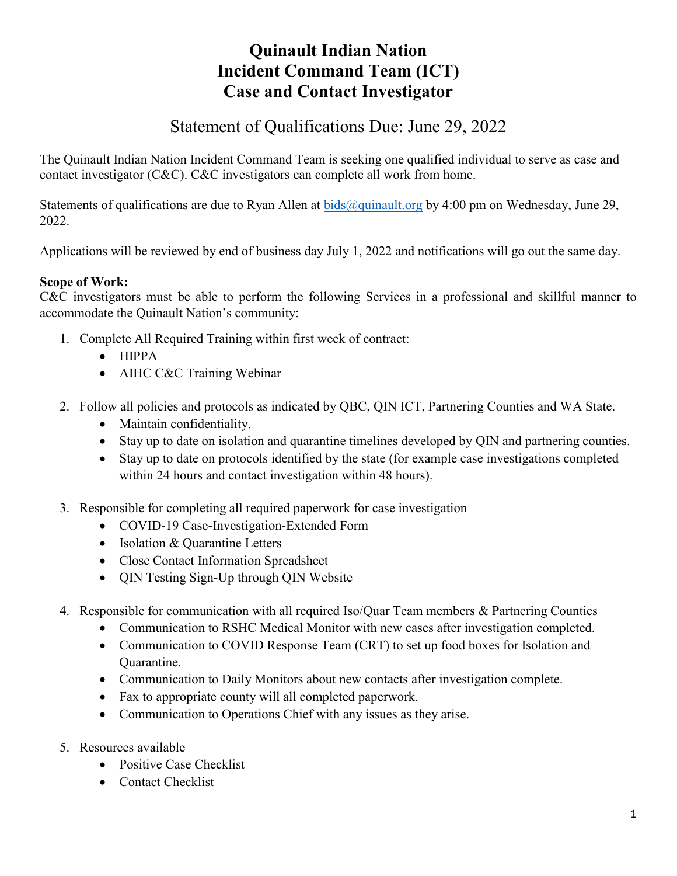# **Quinault Indian Nation Incident Command Team (ICT) Case and Contact Investigator**

# Statement of Qualifications Due: June 29, 2022

The Quinault Indian Nation Incident Command Team is seeking one qualified individual to serve as case and contact investigator (C&C). C&C investigators can complete all work from home.

Statements of qualifications are due to Ryan Allen at  $bids@quinault.org$  by 4:00 pm on Wednesday, June 29, 2022.

Applications will be reviewed by end of business day July 1, 2022 and notifications will go out the same day.

## **Scope of Work:**

C&C investigators must be able to perform the following Services in a professional and skillful manner to accommodate the Quinault Nation's community:

- 1. Complete All Required Training within first week of contract:
	- HIPPA
	- AIHC C&C Training Webinar
- 2. Follow all policies and protocols as indicated by QBC, QIN ICT, Partnering Counties and WA State.
	- Maintain confidentiality.
	- Stay up to date on isolation and quarantine timelines developed by QIN and partnering counties.
	- Stay up to date on protocols identified by the state (for example case investigations completed within 24 hours and contact investigation within 48 hours).
- 3. Responsible for completing all required paperwork for case investigation
	- COVID-19 Case-Investigation-Extended Form
	- Isolation & Quarantine Letters
	- Close Contact Information Spreadsheet
	- QIN Testing Sign-Up through QIN Website
- 4. Responsible for communication with all required Iso/Quar Team members & Partnering Counties
	- Communication to RSHC Medical Monitor with new cases after investigation completed.
	- Communication to COVID Response Team (CRT) to set up food boxes for Isolation and Quarantine.
	- Communication to Daily Monitors about new contacts after investigation complete.
	- Fax to appropriate county will all completed paperwork.
	- Communication to Operations Chief with any issues as they arise.
- 5. Resources available
	- Positive Case Checklist
	- Contact Checklist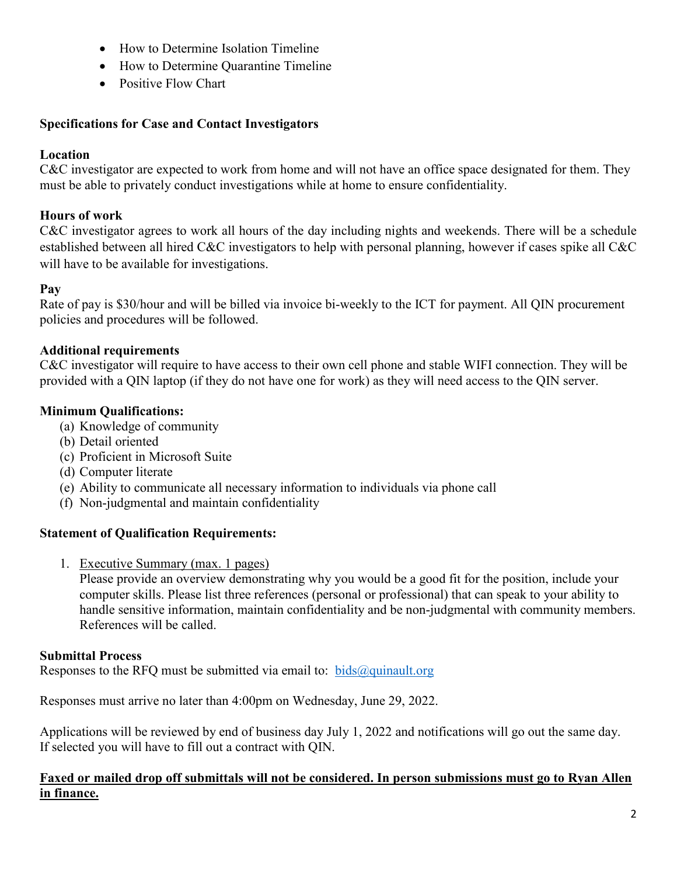- How to Determine Isolation Timeline
- How to Determine Quarantine Timeline
- Positive Flow Chart

#### **Specifications for Case and Contact Investigators**

### **Location**

C&C investigator are expected to work from home and will not have an office space designated for them. They must be able to privately conduct investigations while at home to ensure confidentiality.

### **Hours of work**

C&C investigator agrees to work all hours of the day including nights and weekends. There will be a schedule established between all hired C&C investigators to help with personal planning, however if cases spike all C&C will have to be available for investigations.

#### **Pay**

Rate of pay is \$30/hour and will be billed via invoice bi-weekly to the ICT for payment. All QIN procurement policies and procedures will be followed.

#### **Additional requirements**

C&C investigator will require to have access to their own cell phone and stable WIFI connection. They will be provided with a QIN laptop (if they do not have one for work) as they will need access to the QIN server.

## **Minimum Qualifications:**

- (a) Knowledge of community
- (b) Detail oriented
- (c) Proficient in Microsoft Suite
- (d) Computer literate
- (e) Ability to communicate all necessary information to individuals via phone call
- (f) Non-judgmental and maintain confidentiality

## **Statement of Qualification Requirements:**

1. Executive Summary (max. 1 pages)

Please provide an overview demonstrating why you would be a good fit for the position, include your computer skills. Please list three references (personal or professional) that can speak to your ability to handle sensitive information, maintain confidentiality and be non-judgmental with community members. References will be called.

#### **Submittal Process**

Responses to the RFQ must be submitted via email to:  $bids@quinault.org$ 

Responses must arrive no later than 4:00pm on Wednesday, June 29, 2022.

Applications will be reviewed by end of business day July 1, 2022 and notifications will go out the same day. If selected you will have to fill out a contract with QIN.

#### **Faxed or mailed drop off submittals will not be considered. In person submissions must go to Ryan Allen in finance.**